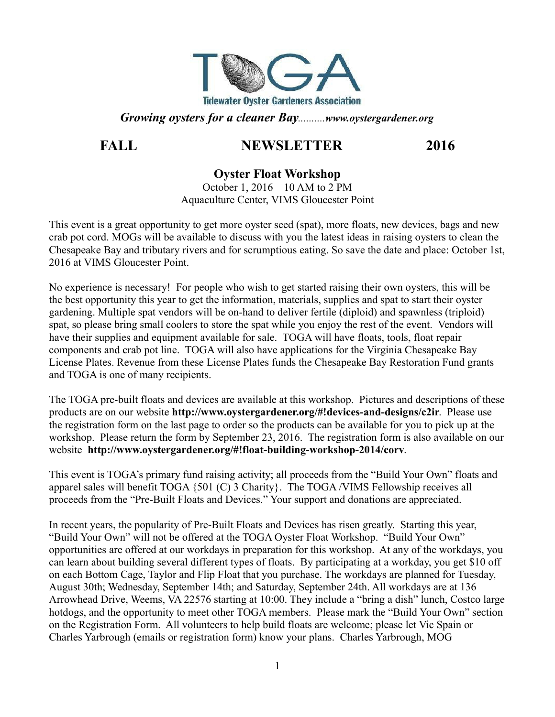

*Growing oysters for a cleaner Bay..........www.oystergardener.org*

# **FALL NEWSLETTER 2016**

## **Oyster Float Workshop**

October 1, 2016 10 AM to 2 PM Aquaculture Center, VIMS Gloucester Point

This event is a great opportunity to get more oyster seed (spat), more floats, new devices, bags and new crab pot cord. MOGs will be available to discuss with you the latest ideas in raising oysters to clean the Chesapeake Bay and tributary rivers and for scrumptious eating. So save the date and place: October 1st, 2016 at VIMS Gloucester Point.

No experience is necessary! For people who wish to get started raising their own oysters, this will be the best opportunity this year to get the information, materials, supplies and spat to start their oyster gardening. Multiple spat vendors will be on-hand to deliver fertile (diploid) and spawnless (triploid) spat, so please bring small coolers to store the spat while you enjoy the rest of the event. Vendors will have their supplies and equipment available for sale. TOGA will have floats, tools, float repair components and crab pot line. TOGA will also have applications for the Virginia Chesapeake Bay License Plates. Revenue from these License Plates funds the Chesapeake Bay Restoration Fund grants and TOGA is one of many recipients.

The TOGA pre-built floats and devices are available at this workshop. Pictures and descriptions of these products are on our website **http://www.oystergardener.org/#!devices-and-designs/c2ir**. Please use the registration form on the last page to order so the products can be available for you to pick up at the workshop. Please return the form by September 23, 2016. The registration form is also available on our website **http://www.oystergardener.org/#!float-building-workshop-2014/corv**.

This event is TOGA's primary fund raising activity; all proceeds from the "Build Your Own" floats and apparel sales will benefit TOGA {501 (C) 3 Charity}. The TOGA /VIMS Fellowship receives all proceeds from the "Pre-Built Floats and Devices." Your support and donations are appreciated.

In recent years, the popularity of Pre-Built Floats and Devices has risen greatly. Starting this year, "Build Your Own" will not be offered at the TOGA Oyster Float Workshop. "Build Your Own" opportunities are offered at our workdays in preparation for this workshop. At any of the workdays, you can learn about building several different types of floats. By participating at a workday, you get \$10 off on each Bottom Cage, Taylor and Flip Float that you purchase. The workdays are planned for Tuesday, August 30th; Wednesday, September 14th; and Saturday, September 24th. All workdays are at 136 Arrowhead Drive, Weems, VA 22576 starting at 10:00. They include a "bring a dish" lunch, Costco large hotdogs, and the opportunity to meet other TOGA members. Please mark the "Build Your Own" section on the Registration Form. All volunteers to help build floats are welcome; please let Vic Spain or Charles Yarbrough (emails or registration form) know your plans. Charles Yarbrough, MOG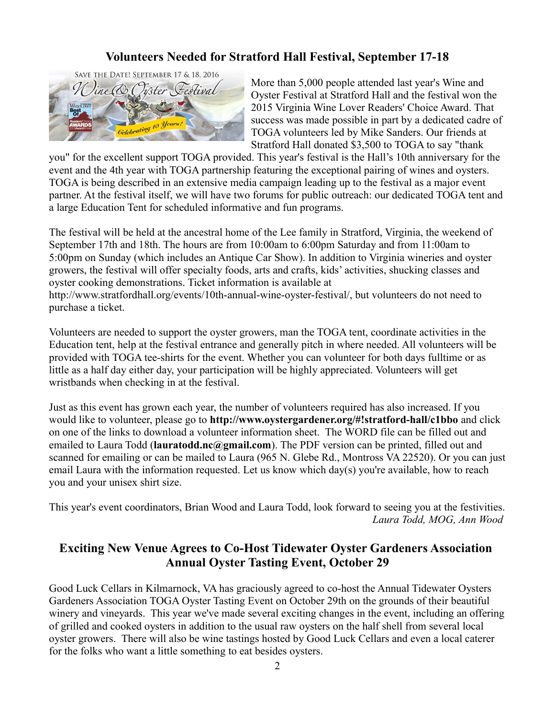## **Volunteers Needed for Stratford Hall Festival, September 17-18**



More than 5,000 people attended last year's Wine and Oyster Festival at Stratford Hall and the festival won the 2015 Virginia Wine Lover Readers' Choice Award. That success was made possible in part by a dedicated cadre of TOGA volunteers led by Mike Sanders. Our friends at Stratford Hall donated \$3,500 to TOGA to say "thank

you" for the excellent support TOGA provided. This year's festival is the Hall's 10th anniversary for the event and the 4th year with TOGA partnership featuring the exceptional pairing of wines and oysters. TOGA is being described in an extensive media campaign leading up to the festival as a major event partner. At the festival itself, we will have two forums for public outreach: our dedicated TOGA tent and a large Education Tent for scheduled informative and fun programs.

The festival will be held at the ancestral home of the Lee family in Stratford, Virginia, the weekend of September 17th and 18th. The hours are from 10:00am to 6:00pm Saturday and from 11:00am to 5:00pm on Sunday (which includes an Antique Car Show). In addition to Virginia wineries and oyster growers, the festival will offer specialty foods, arts and crafts, kids' activities, shucking classes and oyster cooking demonstrations. Ticket information is available at http://www.stratfordhall.org/events/10th-annual-wine-oyster-festival/, but volunteers do not need to purchase a ticket.

Volunteers are needed to support the oyster growers, man the TOGA tent, coordinate activities in the Education tent, help at the festival entrance and generally pitch in where needed. All volunteers will be provided with TOGA tee-shirts for the event. Whether you can volunteer for both days fulltime or as little as a half day either day, your participation will be highly appreciated. Volunteers will get wristbands when checking in at the festival.

Just as this event has grown each year, the number of volunteers required has also increased. If you would like to volunteer, please go to **http://www.oystergardener.org/#!stratford-hall/c1bbo** and click on one of the links to download a volunteer information sheet. The WORD file can be filled out and emailed to Laura Todd (**lauratodd.nc@gmail.com**). The PDF version can be printed, filled out and scanned for emailing or can be mailed to Laura (965 N. Glebe Rd., Montross VA 22520). Or you can just email Laura with the information requested. Let us know which day(s) you're available, how to reach you and your unisex shirt size.

This year's event coordinators, Brian Wood and Laura Todd, look forward to seeing you at the festivities.  *Laura Todd, MOG, Ann Wood*

### **Exciting New Venue Agrees to Co-Host Tidewater Oyster Gardeners Association Annual Oyster Tasting Event, October 29**

Good Luck Cellars in Kilmarnock, VA has graciously agreed to co-host the Annual Tidewater Oysters Gardeners Association TOGA Oyster Tasting Event on October 29th on the grounds of their beautiful winery and vineyards. This year we've made several exciting changes in the event, including an offering of grilled and cooked oysters in addition to the usual raw oysters on the half shell from several local oyster growers. There will also be wine tastings hosted by Good Luck Cellars and even a local caterer for the folks who want a little something to eat besides oysters.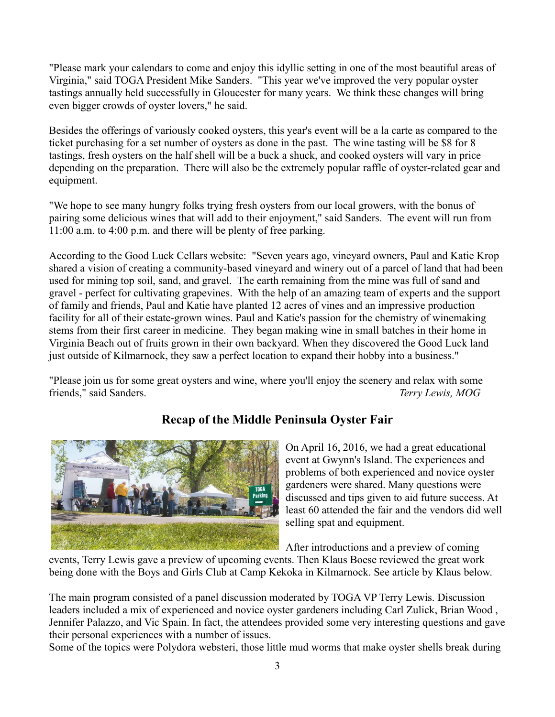"Please mark your calendars to come and enjoy this idyllic setting in one of the most beautiful areas of Virginia," said TOGA President Mike Sanders. "This year we've improved the very popular oyster tastings annually held successfully in Gloucester for many years. We think these changes will bring even bigger crowds of oyster lovers," he said.

Besides the offerings of variously cooked oysters, this year's event will be a la carte as compared to the ticket purchasing for a set number of oysters as done in the past. The wine tasting will be \$8 for 8 tastings, fresh oysters on the half shell will be a buck a shuck, and cooked oysters will vary in price depending on the preparation. There will also be the extremely popular raffle of oyster-related gear and equipment.

"We hope to see many hungry folks trying fresh oysters from our local growers, with the bonus of pairing some delicious wines that will add to their enjoyment," said Sanders. The event will run from 11:00 a.m. to 4:00 p.m. and there will be plenty of free parking.

According to the Good Luck Cellars website: "Seven years ago, vineyard owners, Paul and Katie Krop shared a vision of creating a community-based vineyard and winery out of a parcel of land that had been used for mining top soil, sand, and gravel. The earth remaining from the mine was full of sand and gravel - perfect for cultivating grapevines. With the help of an amazing team of experts and the support of family and friends, Paul and Katie have planted 12 acres of vines and an impressive production facility for all of their estate-grown wines. Paul and Katie's passion for the chemistry of winemaking stems from their first career in medicine. They began making wine in small batches in their home in Virginia Beach out of fruits grown in their own backyard. When they discovered the Good Luck land just outside of Kilmarnock, they saw a perfect location to expand their hobby into a business."

"Please join us for some great oysters and wine, where you'll enjoy the scenery and relax with some friends," said Sanders. *Terry Lewis, MOG*



# **Recap of the Middle Peninsula Oyster Fair**

On April 16, 2016, we had a great educational event at Gwynn's Island. The experiences and problems of both experienced and novice oyster gardeners were shared. Many questions were discussed and tips given to aid future success. At least 60 attended the fair and the vendors did well selling spat and equipment.

After introductions and a preview of coming

events, Terry Lewis gave a preview of upcoming events. Then Klaus Boese reviewed the great work being done with the Boys and Girls Club at Camp Kekoka in Kilmarnock. See article by Klaus below.

The main program consisted of a panel discussion moderated by TOGA VP Terry Lewis. Discussion leaders included a mix of experienced and novice oyster gardeners including Carl Zulick, Brian Wood , Jennifer Palazzo, and Vic Spain. In fact, the attendees provided some very interesting questions and gave their personal experiences with a number of issues.

Some of the topics were Polydora websteri, those little mud worms that make oyster shells break during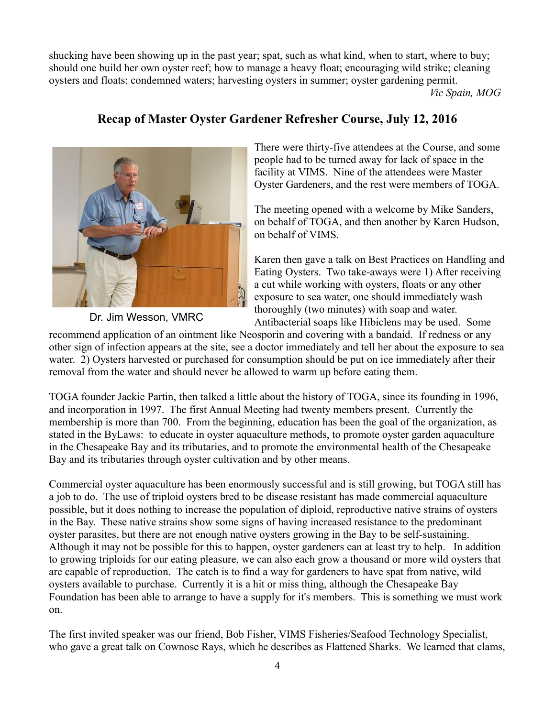shucking have been showing up in the past year; spat, such as what kind, when to start, where to buy; should one build her own oyster reef; how to manage a heavy float; encouraging wild strike; cleaning oysters and floats; condemned waters; harvesting oysters in summer; oyster gardening permit.  *Vic Spain, MOG*

### **Recap of Master Oyster Gardener Refresher Course, July 12, 2016**



There were thirty-five attendees at the Course, and some people had to be turned away for lack of space in the facility at VIMS. Nine of the attendees were Master Oyster Gardeners, and the rest were members of TOGA.

The meeting opened with a welcome by Mike Sanders, on behalf of TOGA, and then another by Karen Hudson, on behalf of VIMS.

Karen then gave a talk on Best Practices on Handling and Eating Oysters. Two take-aways were 1) After receiving a cut while working with oysters, floats or any other exposure to sea water, one should immediately wash thoroughly (two minutes) with soap and water. Antibacterial soaps like Hibiclens may be used. Some

recommend application of an ointment like Neosporin and covering with a bandaid. If redness or any other sign of infection appears at the site, see a doctor immediately and tell her about the exposure to sea water. 2) Oysters harvested or purchased for consumption should be put on ice immediately after their removal from the water and should never be allowed to warm up before eating them.

TOGA founder Jackie Partin, then talked a little about the history of TOGA, since its founding in 1996, and incorporation in 1997. The first Annual Meeting had twenty members present. Currently the membership is more than 700. From the beginning, education has been the goal of the organization, as stated in the ByLaws: to educate in oyster aquaculture methods, to promote oyster garden aquaculture in the Chesapeake Bay and its tributaries, and to promote the environmental health of the Chesapeake Bay and its tributaries through oyster cultivation and by other means.

Commercial oyster aquaculture has been enormously successful and is still growing, but TOGA still has a job to do. The use of triploid oysters bred to be disease resistant has made commercial aquaculture possible, but it does nothing to increase the population of diploid, reproductive native strains of oysters in the Bay. These native strains show some signs of having increased resistance to the predominant oyster parasites, but there are not enough native oysters growing in the Bay to be self-sustaining. Although it may not be possible for this to happen, oyster gardeners can at least try to help. In addition to growing triploids for our eating pleasure, we can also each grow a thousand or more wild oysters that are capable of reproduction. The catch is to find a way for gardeners to have spat from native, wild oysters available to purchase. Currently it is a hit or miss thing, although the Chesapeake Bay Foundation has been able to arrange to have a supply for it's members. This is something we must work on.

The first invited speaker was our friend, Bob Fisher, VIMS Fisheries/Seafood Technology Specialist, who gave a great talk on Cownose Rays, which he describes as Flattened Sharks. We learned that clams,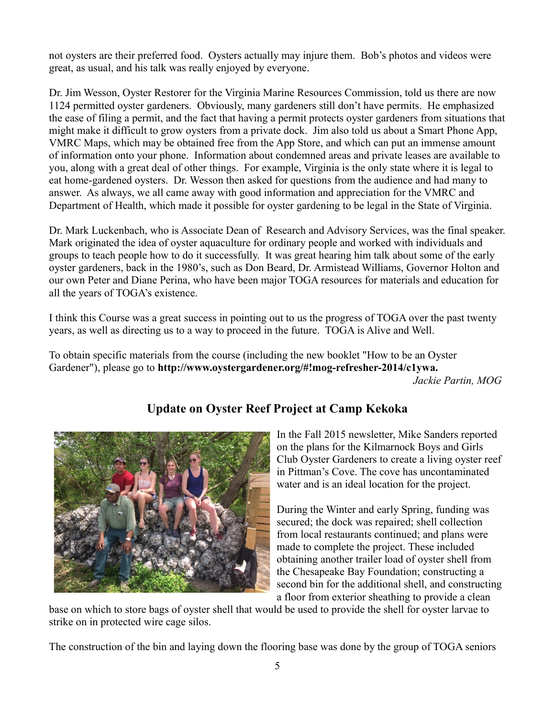not oysters are their preferred food. Oysters actually may injure them. Bob's photos and videos were great, as usual, and his talk was really enjoyed by everyone.

Dr. Jim Wesson, Oyster Restorer for the Virginia Marine Resources Commission, told us there are now 1124 permitted oyster gardeners. Obviously, many gardeners still don't have permits. He emphasized the ease of filing a permit, and the fact that having a permit protects oyster gardeners from situations that might make it difficult to grow oysters from a private dock. Jim also told us about a Smart Phone App, VMRC Maps, which may be obtained free from the App Store, and which can put an immense amount of information onto your phone. Information about condemned areas and private leases are available to you, along with a great deal of other things. For example, Virginia is the only state where it is legal to eat home-gardened oysters. Dr. Wesson then asked for questions from the audience and had many to answer. As always, we all came away with good information and appreciation for the VMRC and Department of Health, which made it possible for oyster gardening to be legal in the State of Virginia.

Dr. Mark Luckenbach, who is Associate Dean of Research and Advisory Services, was the final speaker. Mark originated the idea of oyster aquaculture for ordinary people and worked with individuals and groups to teach people how to do it successfully. It was great hearing him talk about some of the early oyster gardeners, back in the 1980's, such as Don Beard, Dr. Armistead Williams, Governor Holton and our own Peter and Diane Perina, who have been major TOGA resources for materials and education for all the years of TOGA's existence.

I think this Course was a great success in pointing out to us the progress of TOGA over the past twenty years, as well as directing us to a way to proceed in the future. TOGA is Alive and Well.

To obtain specific materials from the course (including the new booklet "How to be an Oyster Gardener"), please go to **http://www.oystergardener.org/#!mog-refresher-2014/c1ywa.**  *Jackie Partin, MOG*



# **Update on Oyster Reef Project at Camp Kekoka**

In the Fall 2015 newsletter, Mike Sanders reported on the plans for the Kilmarnock Boys and Girls Club Oyster Gardeners to create a living oyster reef in Pittman's Cove. The cove has uncontaminated water and is an ideal location for the project.

During the Winter and early Spring, funding was secured; the dock was repaired; shell collection from local restaurants continued; and plans were made to complete the project. These included obtaining another trailer load of oyster shell from the Chesapeake Bay Foundation; constructing a second bin for the additional shell, and constructing a floor from exterior sheathing to provide a clean

base on which to store bags of oyster shell that would be used to provide the shell for oyster larvae to strike on in protected wire cage silos.

The construction of the bin and laying down the flooring base was done by the group of TOGA seniors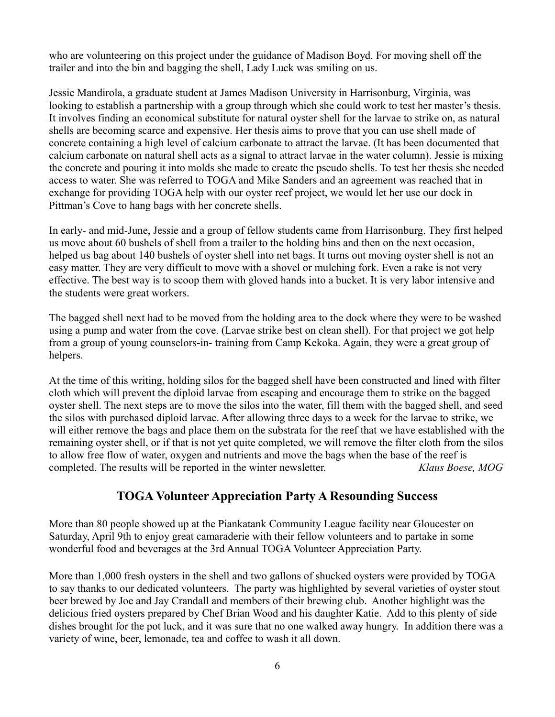who are volunteering on this project under the guidance of Madison Boyd. For moving shell off the trailer and into the bin and bagging the shell, Lady Luck was smiling on us.

Jessie Mandirola, a graduate student at James Madison University in Harrisonburg, Virginia, was looking to establish a partnership with a group through which she could work to test her master's thesis. It involves finding an economical substitute for natural oyster shell for the larvae to strike on, as natural shells are becoming scarce and expensive. Her thesis aims to prove that you can use shell made of concrete containing a high level of calcium carbonate to attract the larvae. (It has been documented that calcium carbonate on natural shell acts as a signal to attract larvae in the water column). Jessie is mixing the concrete and pouring it into molds she made to create the pseudo shells. To test her thesis she needed access to water. She was referred to TOGA and Mike Sanders and an agreement was reached that in exchange for providing TOGA help with our oyster reef project, we would let her use our dock in Pittman's Cove to hang bags with her concrete shells.

In early- and mid-June, Jessie and a group of fellow students came from Harrisonburg. They first helped us move about 60 bushels of shell from a trailer to the holding bins and then on the next occasion, helped us bag about 140 bushels of oyster shell into net bags. It turns out moving oyster shell is not an easy matter. They are very difficult to move with a shovel or mulching fork. Even a rake is not very effective. The best way is to scoop them with gloved hands into a bucket. It is very labor intensive and the students were great workers.

The bagged shell next had to be moved from the holding area to the dock where they were to be washed using a pump and water from the cove. (Larvae strike best on clean shell). For that project we got help from a group of young counselors-in- training from Camp Kekoka. Again, they were a great group of helpers.

At the time of this writing, holding silos for the bagged shell have been constructed and lined with filter cloth which will prevent the diploid larvae from escaping and encourage them to strike on the bagged oyster shell. The next steps are to move the silos into the water, fill them with the bagged shell, and seed the silos with purchased diploid larvae. After allowing three days to a week for the larvae to strike, we will either remove the bags and place them on the substrata for the reef that we have established with the remaining oyster shell, or if that is not yet quite completed, we will remove the filter cloth from the silos to allow free flow of water, oxygen and nutrients and move the bags when the base of the reef is completed. The results will be reported in the winter newsletter. *Klaus Boese, MOG*

#### **TOGA Volunteer Appreciation Party A Resounding Success**

More than 80 people showed up at the Piankatank Community League facility near Gloucester on Saturday, April 9th to enjoy great camaraderie with their fellow volunteers and to partake in some wonderful food and beverages at the 3rd Annual TOGA Volunteer Appreciation Party.

More than 1,000 fresh oysters in the shell and two gallons of shucked oysters were provided by TOGA to say thanks to our dedicated volunteers. The party was highlighted by several varieties of oyster stout beer brewed by Joe and Jay Crandall and members of their brewing club. Another highlight was the delicious fried oysters prepared by Chef Brian Wood and his daughter Katie. Add to this plenty of side dishes brought for the pot luck, and it was sure that no one walked away hungry. In addition there was a variety of wine, beer, lemonade, tea and coffee to wash it all down.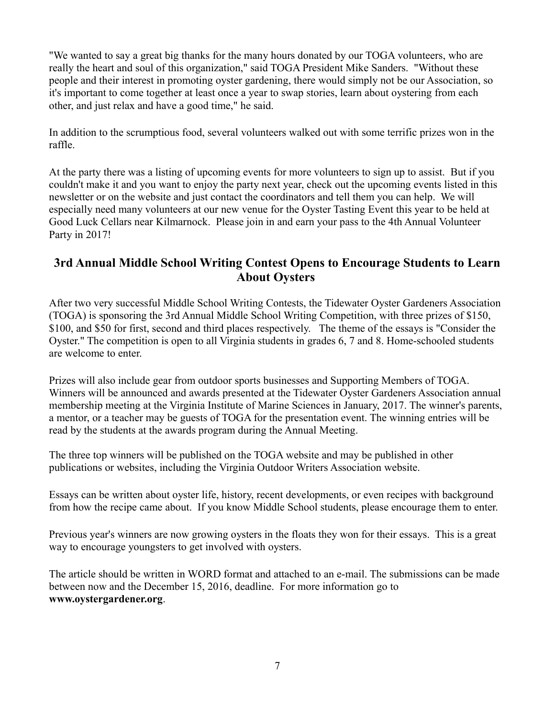"We wanted to say a great big thanks for the many hours donated by our TOGA volunteers, who are really the heart and soul of this organization," said TOGA President Mike Sanders. "Without these people and their interest in promoting oyster gardening, there would simply not be our Association, so it's important to come together at least once a year to swap stories, learn about oystering from each other, and just relax and have a good time," he said.

In addition to the scrumptious food, several volunteers walked out with some terrific prizes won in the raffle.

At the party there was a listing of upcoming events for more volunteers to sign up to assist. But if you couldn't make it and you want to enjoy the party next year, check out the upcoming events listed in this newsletter or on the website and just contact the coordinators and tell them you can help. We will especially need many volunteers at our new venue for the Oyster Tasting Event this year to be held at Good Luck Cellars near Kilmarnock. Please join in and earn your pass to the 4th Annual Volunteer Party in 2017!

#### **3rd Annual Middle School Writing Contest Opens to Encourage Students to Learn About Oysters**

After two very successful Middle School Writing Contests, the Tidewater Oyster Gardeners Association (TOGA) is sponsoring the 3rd Annual Middle School Writing Competition, with three prizes of \$150, \$100, and \$50 for first, second and third places respectively. The theme of the essays is "Consider the Oyster." The competition is open to all Virginia students in grades 6, 7 and 8. Home-schooled students are welcome to enter.

Prizes will also include gear from outdoor sports businesses and Supporting Members of TOGA. Winners will be announced and awards presented at the Tidewater Oyster Gardeners Association annual membership meeting at the Virginia Institute of Marine Sciences in January, 2017. The winner's parents, a mentor, or a teacher may be guests of TOGA for the presentation event. The winning entries will be read by the students at the awards program during the Annual Meeting.

The three top winners will be published on the TOGA website and may be published in other publications or websites, including the Virginia Outdoor Writers Association website.

Essays can be written about oyster life, history, recent developments, or even recipes with background from how the recipe came about. If you know Middle School students, please encourage them to enter.

Previous year's winners are now growing oysters in the floats they won for their essays. This is a great way to encourage youngsters to get involved with oysters.

The article should be written in WORD format and attached to an e-mail. The submissions can be made between now and the December 15, 2016, deadline. For more information go to **www.oystergardener.org**.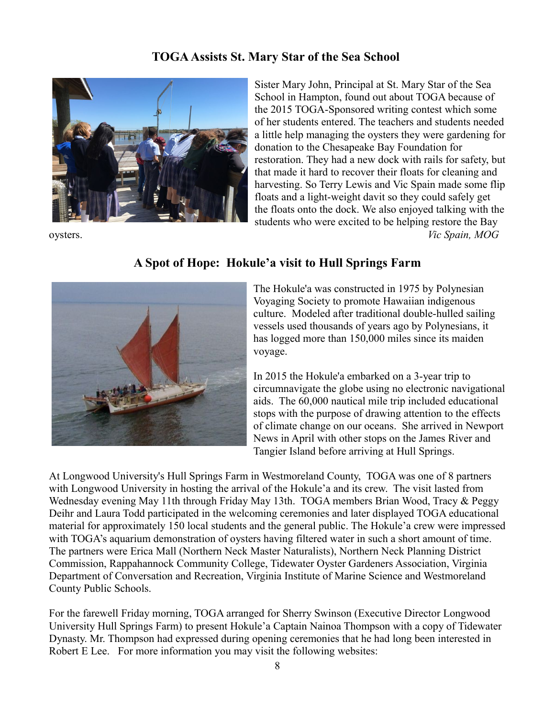#### **TOGA Assists St. Mary Star of the Sea School**



Sister Mary John, Principal at St. Mary Star of the Sea School in Hampton, found out about TOGA because of the 2015 TOGA-Sponsored writing contest which some of her students entered. The teachers and students needed a little help managing the oysters they were gardening for donation to the Chesapeake Bay Foundation for restoration. They had a new dock with rails for safety, but that made it hard to recover their floats for cleaning and harvesting. So Terry Lewis and Vic Spain made some flip floats and a light-weight davit so they could safely get the floats onto the dock. We also enjoyed talking with the students who were excited to be helping restore the Bay oysters. *Vic Spain, MOG*



#### **A Spot of Hope: Hokule'a visit to Hull Springs Farm**

The Hokule'a was constructed in 1975 by Polynesian Voyaging Society to promote Hawaiian indigenous culture. Modeled after traditional double-hulled sailing vessels used thousands of years ago by Polynesians, it has logged more than 150,000 miles since its maiden voyage.

In 2015 the Hokule'a embarked on a 3-year trip to circumnavigate the globe using no electronic navigational aids. The 60,000 nautical mile trip included educational stops with the purpose of drawing attention to the effects of climate change on our oceans. She arrived in Newport News in April with other stops on the James River and Tangier Island before arriving at Hull Springs.

At Longwood University's Hull Springs Farm in Westmoreland County, TOGA was one of 8 partners with Longwood University in hosting the arrival of the Hokule'a and its crew. The visit lasted from Wednesday evening May 11th through Friday May 13th. TOGA members Brian Wood, Tracy & Peggy Deihr and Laura Todd participated in the welcoming ceremonies and later displayed TOGA educational material for approximately 150 local students and the general public. The Hokule'a crew were impressed with TOGA's aquarium demonstration of oysters having filtered water in such a short amount of time. The partners were Erica Mall (Northern Neck Master Naturalists), Northern Neck Planning District Commission, Rappahannock Community College, Tidewater Oyster Gardeners Association, Virginia Department of Conversation and Recreation, Virginia Institute of Marine Science and Westmoreland County Public Schools.

For the farewell Friday morning, TOGA arranged for Sherry Swinson (Executive Director Longwood University Hull Springs Farm) to present Hokule'a Captain Nainoa Thompson with a copy of Tidewater Dynasty. Mr. Thompson had expressed during opening ceremonies that he had long been interested in Robert E Lee. For more information you may visit the following websites: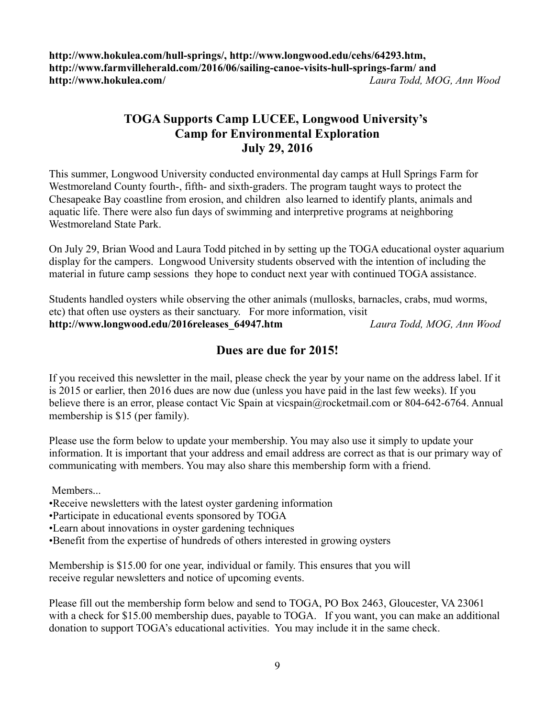**http://www.hokulea.com/hull-springs/, http://www.longwood.edu/cehs/64293.htm, http://www.farmvilleherald.com/2016/06/sailing-canoe-visits-hull-springs-farm/ and http://www.hokulea.com/** *Laura Todd, MOG, Ann Wood*

### **TOGA Supports Camp LUCEE, Longwood University's Camp for Environmental Exploration July 29, 2016**

This summer, Longwood University conducted environmental day camps at Hull Springs Farm for Westmoreland County fourth-, fifth- and sixth-graders. The program taught ways to protect the Chesapeake Bay coastline from erosion, and children also learned to identify plants, animals and aquatic life. There were also fun days of swimming and interpretive programs at neighboring Westmoreland State Park.

On July 29, Brian Wood and Laura Todd pitched in by setting up the TOGA educational oyster aquarium display for the campers. Longwood University students observed with the intention of including the material in future camp sessions they hope to conduct next year with continued TOGA assistance.

Students handled oysters while observing the other animals (mullosks, barnacles, crabs, mud worms, etc) that often use oysters as their sanctuary. For more information, visit **http://www.longwood.edu/2016releases\_64947.htm** *Laura Todd, MOG, Ann Wood*

### **Dues are due for 2015!**

If you received this newsletter in the mail, please check the year by your name on the address label. If it is 2015 or earlier, then 2016 dues are now due (unless you have paid in the last few weeks). If you believe there is an error, please contact Vic Spain at vicspain@rocketmail.com or 804-642-6764. Annual membership is \$15 (per family).

Please use the form below to update your membership. You may also use it simply to update your information. It is important that your address and email address are correct as that is our primary way of communicating with members. You may also share this membership form with a friend.

Members...

- •Receive newsletters with the latest oyster gardening information
- •Participate in educational events sponsored by TOGA
- •Learn about innovations in oyster gardening techniques
- •Benefit from the expertise of hundreds of others interested in growing oysters

Membership is \$15.00 for one year, individual or family. This ensures that you will receive regular newsletters and notice of upcoming events.

Please fill out the membership form below and send to TOGA, PO Box 2463, Gloucester, VA 23061 with a check for \$15.00 membership dues, payable to TOGA. If you want, you can make an additional donation to support TOGA's educational activities. You may include it in the same check.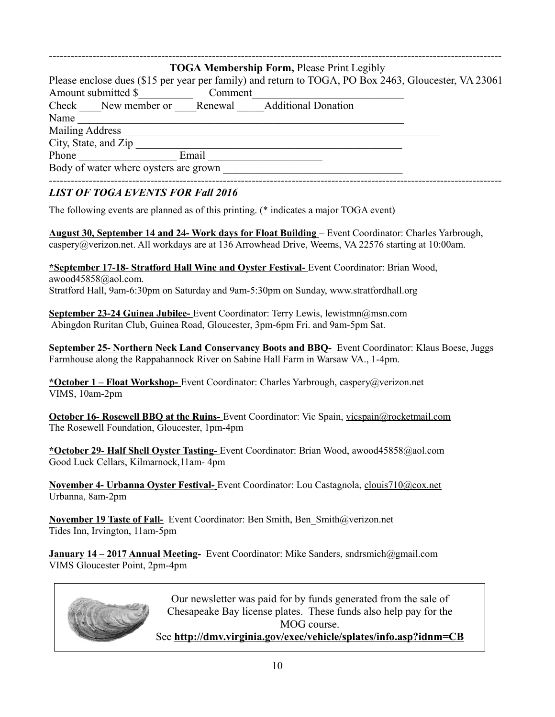|                                       | <b>TOGA Membership Form, Please Print Legibly</b>                                                    |  |
|---------------------------------------|------------------------------------------------------------------------------------------------------|--|
|                                       | Please enclose dues (\$15 per year per family) and return to TOGA, PO Box 2463, Gloucester, VA 23061 |  |
| Amount submitted \$                   | Comment                                                                                              |  |
|                                       | Check New member or Renewal Additional Donation                                                      |  |
| Name                                  |                                                                                                      |  |
| <b>Mailing Address</b>                |                                                                                                      |  |
| City, State, and Zip                  |                                                                                                      |  |
| Phone                                 | Email                                                                                                |  |
| Body of water where oysters are grown |                                                                                                      |  |

#### *LIST OF TOGA EVENTS FOR Fall 2016*

The following events are planned as of this printing. (\* indicates a major TOGA event)

 **August 30, September 14 and 24- Work days for Float Building** – Event Coordinator: Charles Yarbrough, caspery@verizon.net. All workdays are at 136 Arrowhead Drive, Weems, VA 22576 starting at 10:00am.

**\*September 17-18- Stratford Hall Wine and Oyster Festival-** Event Coordinator: Brian Wood, awood45858@aol.com. Stratford Hall, 9am-6:30pm on Saturday and 9am-5:30pm on Sunday, www.stratfordhall.org

 **September 23-24 Guinea Jubilee-** Event Coordinator: Terry Lewis, lewistmn@msn.com Abingdon Ruritan Club, Guinea Road, Gloucester, 3pm-6pm Fri. and 9am-5pm Sat.

**September 25- Northern Neck Land Conservancy Boots and BBQ-** Event Coordinator: Klaus Boese, Juggs Farmhouse along the Rappahannock River on Sabine Hall Farm in Warsaw VA., 1-4pm.

**\*October 1 – Float Workshop-** Event Coordinator: Charles Yarbrough, caspery@verizon.net VIMS, 10am-2pm

**October 16- Rosewell BBQ at the Ruins-** Event Coordinator: Vic Spain, vicspain@rocketmail.com The Rosewell Foundation, Gloucester, 1pm-4pm

**\*October 29- Half Shell Oyster Tasting-** Event Coordinator: Brian Wood, awood45858@aol.com Good Luck Cellars, Kilmarnock,11am- 4pm

 **November 4- Urbanna Oyster Festival-** Event Coordinator: Lou Castagnola, clouis710@cox.net Urbanna, 8am-2pm

**November 19 Taste of Fall-** Event Coordinator: Ben Smith, Ben\_Smith@verizon.net Tides Inn, Irvington, 11am-5pm

**January 14 – 2017 Annual Meeting-** Event Coordinator: Mike Sanders, sndrsmich@gmail.com VIMS Gloucester Point, 2pm-4pm



Our newsletter was paid for by funds generated from the sale of Chesapeake Bay license plates. These funds also help pay for the MOG course.

See **http://dmv.virginia.gov/exec/vehicle/splates/info.asp?idnm=CB**